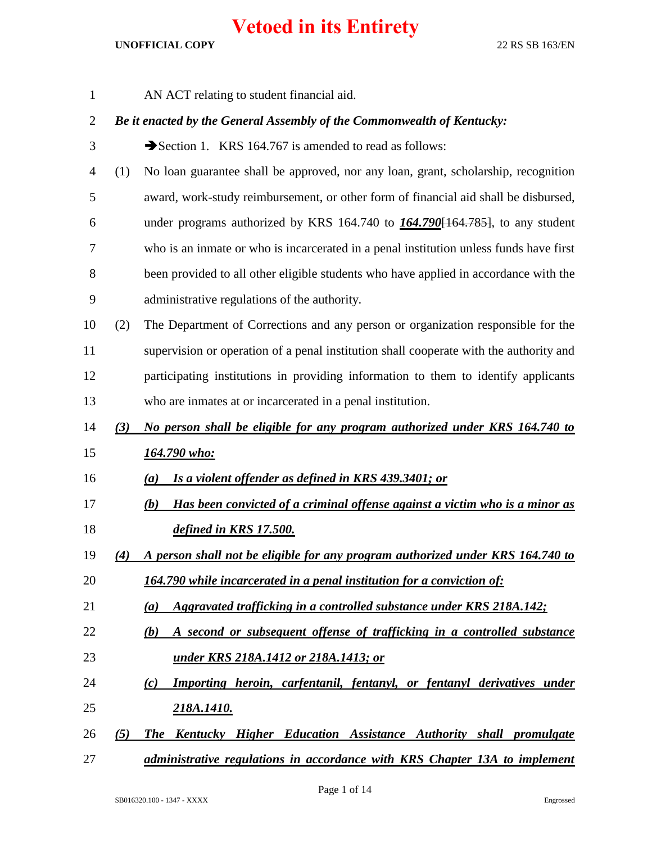| $\mathbf{1}$   |     | AN ACT relating to student financial aid.                                              |
|----------------|-----|----------------------------------------------------------------------------------------|
| $\overline{2}$ |     | Be it enacted by the General Assembly of the Commonwealth of Kentucky:                 |
| 3              |     | Section 1. KRS 164.767 is amended to read as follows:                                  |
| $\overline{4}$ | (1) | No loan guarantee shall be approved, nor any loan, grant, scholarship, recognition     |
| 5              |     | award, work-study reimbursement, or other form of financial aid shall be disbursed,    |
| 6              |     | under programs authorized by KRS 164.740 to $164.790[164.785]$ , to any student        |
| 7              |     | who is an inmate or who is incarcerated in a penal institution unless funds have first |
| $8\,$          |     | been provided to all other eligible students who have applied in accordance with the   |
| 9              |     | administrative regulations of the authority.                                           |
| 10             | (2) | The Department of Corrections and any person or organization responsible for the       |
| 11             |     | supervision or operation of a penal institution shall cooperate with the authority and |
| 12             |     | participating institutions in providing information to them to identify applicants     |
| 13             |     | who are inmates at or incarcerated in a penal institution.                             |
| 14             | (3) | No person shall be eligible for any program authorized under KRS 164.740 to            |
| 15             |     | <u>164.790 who:</u>                                                                    |
| 16             |     | Is a violent offender as defined in KRS 439.3401; or<br>(a)                            |
| 17             |     | Has been convicted of a criminal offense against a victim who is a minor as<br>(b)     |
| 18             |     | defined in KRS 17.500.                                                                 |
| 19             | (4) | A person shall not be eligible for any program authorized under KRS 164.740 to         |
| 20             |     | 164.790 while incarcerated in a penal institution for a conviction of:                 |
| 21             |     | Aggravated trafficking in a controlled substance under KRS 218A.142;<br>(a)            |
| 22             |     | A second or subsequent offense of trafficking in a controlled substance<br>(b)         |
| 23             |     | <u>under KRS 218A.1412 or 218A.1413; or</u>                                            |
| 24             |     | Importing heroin, carfentanil, fentanyl, or fentanyl derivatives under<br>(c)          |
| 25             |     | <u>218A.1410.</u>                                                                      |
| 26             | (5) | The Kentucky Higher Education Assistance Authority shall promulgate                    |
| 27             |     | administrative regulations in accordance with KRS Chapter 13A to implement             |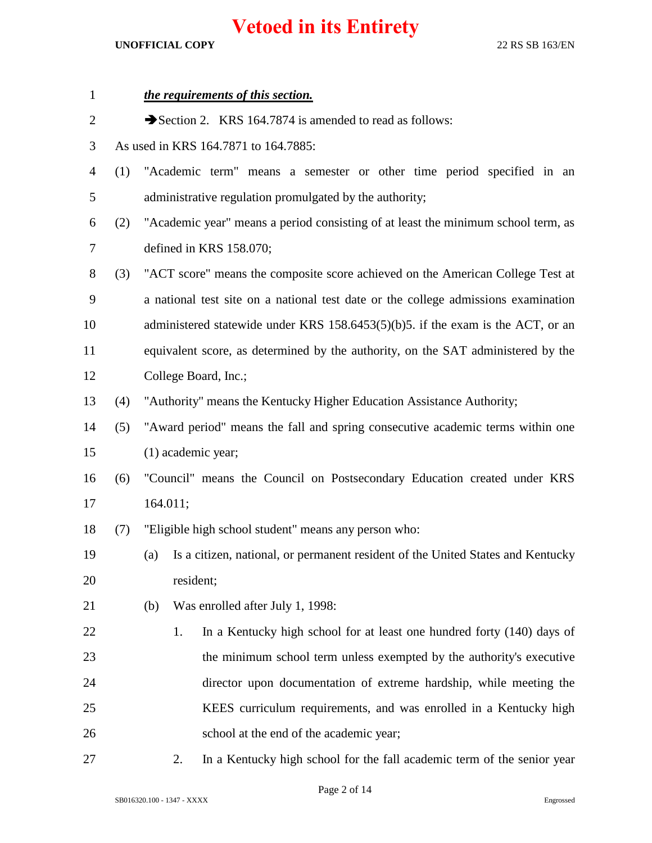| $\mathbf{1}$   |     | the requirements of this section.                                                      |
|----------------|-----|----------------------------------------------------------------------------------------|
| $\overline{2}$ |     | Section 2. KRS 164.7874 is amended to read as follows:                                 |
| 3              |     | As used in KRS 164.7871 to 164.7885:                                                   |
| $\overline{4}$ | (1) | "Academic term" means a semester or other time period specified in an                  |
| 5              |     | administrative regulation promulgated by the authority;                                |
| 6              | (2) | "Academic year" means a period consisting of at least the minimum school term, as      |
| $\tau$         |     | defined in KRS 158.070;                                                                |
| 8              | (3) | "ACT score" means the composite score achieved on the American College Test at         |
| $\mathbf{9}$   |     | a national test site on a national test date or the college admissions examination     |
| 10             |     | administered statewide under KRS $158.6453(5)(b)5$ . if the exam is the ACT, or an     |
| 11             |     | equivalent score, as determined by the authority, on the SAT administered by the       |
| 12             |     | College Board, Inc.;                                                                   |
| 13             | (4) | "Authority" means the Kentucky Higher Education Assistance Authority;                  |
| 14             | (5) | "Award period" means the fall and spring consecutive academic terms within one         |
| 15             |     | (1) academic year;                                                                     |
| 16             | (6) | "Council" means the Council on Postsecondary Education created under KRS               |
| 17             |     | 164.011;                                                                               |
| 18             | (7) | "Eligible high school student" means any person who:                                   |
| 19             |     | Is a citizen, national, or permanent resident of the United States and Kentucky<br>(a) |
| 20             |     | resident;                                                                              |
| 21             |     | Was enrolled after July 1, 1998:<br>(b)                                                |
| 22             |     | In a Kentucky high school for at least one hundred forty (140) days of<br>1.           |
| 23             |     | the minimum school term unless exempted by the authority's executive                   |
| 24             |     | director upon documentation of extreme hardship, while meeting the                     |
| 25             |     | KEES curriculum requirements, and was enrolled in a Kentucky high                      |
| 26             |     | school at the end of the academic year;                                                |
| 27             |     | In a Kentucky high school for the fall academic term of the senior year<br>2.          |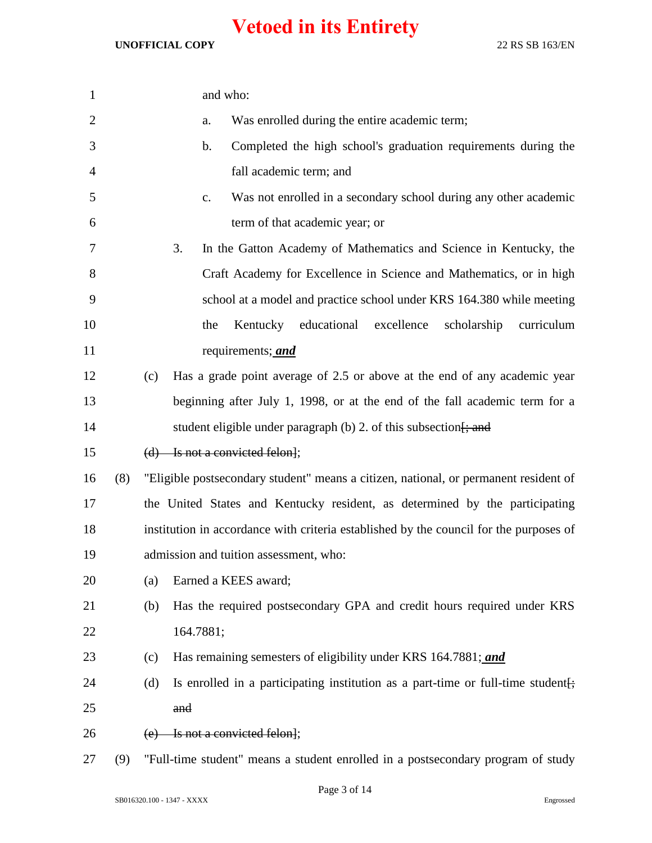| $\mathbf{1}$   |     |     | and who:                                                                               |
|----------------|-----|-----|----------------------------------------------------------------------------------------|
| $\overline{c}$ |     |     | Was enrolled during the entire academic term;<br>a.                                    |
| 3              |     |     | Completed the high school's graduation requirements during the<br>b.                   |
| $\overline{4}$ |     |     | fall academic term; and                                                                |
| 5              |     |     | Was not enrolled in a secondary school during any other academic<br>c.                 |
| 6              |     |     | term of that academic year; or                                                         |
| 7              |     |     | 3.<br>In the Gatton Academy of Mathematics and Science in Kentucky, the                |
| $8\,$          |     |     | Craft Academy for Excellence in Science and Mathematics, or in high                    |
| 9              |     |     | school at a model and practice school under KRS 164.380 while meeting                  |
| 10             |     |     | Kentucky educational<br>excellence<br>scholarship<br>curriculum<br>the                 |
| 11             |     |     | requirements; and                                                                      |
| 12             |     | (c) | Has a grade point average of 2.5 or above at the end of any academic year              |
| 13             |     |     | beginning after July 1, 1998, or at the end of the fall academic term for a            |
| 14             |     |     | student eligible under paragraph (b) 2. of this subsection $\frac{1}{2}$ and           |
| 15             |     |     | $(d)$ Is not a convicted felon];                                                       |
| 16             | (8) |     | "Eligible postsecondary student" means a citizen, national, or permanent resident of   |
| 17             |     |     | the United States and Kentucky resident, as determined by the participating            |
| 18             |     |     | institution in accordance with criteria established by the council for the purposes of |
| 19             |     |     | admission and tuition assessment, who:                                                 |
| 20             |     | (a) | Earned a KEES award;                                                                   |
| 21             |     | (b) | Has the required postsecondary GPA and credit hours required under KRS                 |
| 22             |     |     | 164.7881;                                                                              |
| 23             |     | (c) | Has remaining semesters of eligibility under KRS 164.7881; and                         |
| 24             |     | (d) | Is enrolled in a participating institution as a part-time or full-time student.        |
| 25             |     |     | and                                                                                    |
| 26             |     |     | Is not a convicted felon];                                                             |
| 27             | (9) |     | "Full-time student" means a student enrolled in a postsecondary program of study       |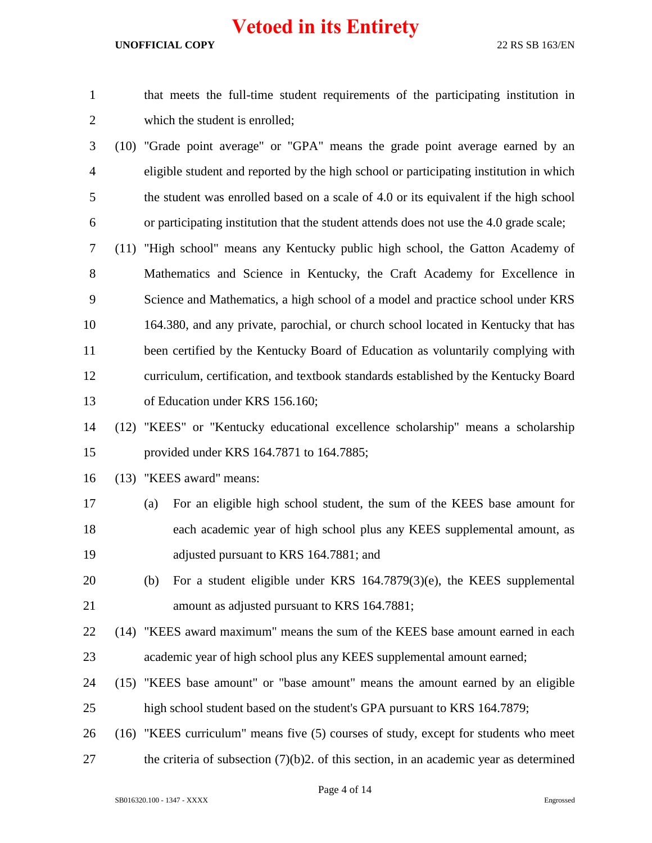#### **UNOFFICIAL COPY** 22 RS SB 163/EN

 that meets the full-time student requirements of the participating institution in which the student is enrolled;

 (10) "Grade point average" or "GPA" means the grade point average earned by an eligible student and reported by the high school or participating institution in which the student was enrolled based on a scale of 4.0 or its equivalent if the high school or participating institution that the student attends does not use the 4.0 grade scale;

 (11) "High school" means any Kentucky public high school, the Gatton Academy of Mathematics and Science in Kentucky, the Craft Academy for Excellence in Science and Mathematics, a high school of a model and practice school under KRS 164.380, and any private, parochial, or church school located in Kentucky that has been certified by the Kentucky Board of Education as voluntarily complying with curriculum, certification, and textbook standards established by the Kentucky Board of Education under KRS 156.160;

 (12) "KEES" or "Kentucky educational excellence scholarship" means a scholarship provided under KRS 164.7871 to 164.7885;

(13) "KEES award" means:

- (a) For an eligible high school student, the sum of the KEES base amount for each academic year of high school plus any KEES supplemental amount, as adjusted pursuant to KRS 164.7881; and
- (b) For a student eligible under KRS 164.7879(3)(e), the KEES supplemental amount as adjusted pursuant to KRS 164.7881;
- (14) "KEES award maximum" means the sum of the KEES base amount earned in each academic year of high school plus any KEES supplemental amount earned;
- (15) "KEES base amount" or "base amount" means the amount earned by an eligible high school student based on the student's GPA pursuant to KRS 164.7879;
- (16) "KEES curriculum" means five (5) courses of study, except for students who meet 27 the criteria of subsection (7)(b)2. of this section, in an academic year as determined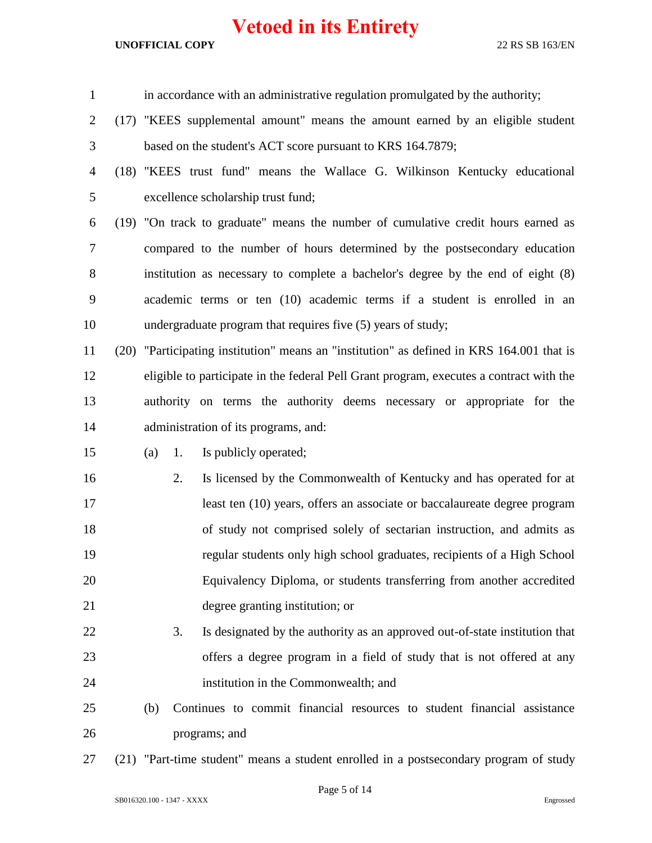#### **UNOFFICIAL COPY** 22 RS SB 163/EN

| $\mathbf{1}$   |     |    | in accordance with an administrative regulation promulgated by the authority;             |
|----------------|-----|----|-------------------------------------------------------------------------------------------|
| $\overline{2}$ |     |    | (17) "KEES supplemental amount" means the amount earned by an eligible student            |
| 3              |     |    | based on the student's ACT score pursuant to KRS 164.7879;                                |
| $\overline{4}$ |     |    | (18) "KEES trust fund" means the Wallace G. Wilkinson Kentucky educational                |
| 5              |     |    | excellence scholarship trust fund;                                                        |
| 6              |     |    | (19) "On track to graduate" means the number of cumulative credit hours earned as         |
| 7              |     |    | compared to the number of hours determined by the postsecondary education                 |
| 8              |     |    | institution as necessary to complete a bachelor's degree by the end of eight (8)          |
| 9              |     |    | academic terms or ten (10) academic terms if a student is enrolled in an                  |
| 10             |     |    | undergraduate program that requires five (5) years of study;                              |
| 11             |     |    | (20) "Participating institution" means an "institution" as defined in KRS 164.001 that is |
| 12             |     |    | eligible to participate in the federal Pell Grant program, executes a contract with the   |
| 13             |     |    | authority on terms the authority deems necessary or appropriate for the                   |
| 14             |     |    | administration of its programs, and:                                                      |
| 15             | (a) | 1. | Is publicly operated;                                                                     |
| 16             |     | 2. | Is licensed by the Commonwealth of Kentucky and has operated for at                       |
| 17             |     |    | least ten (10) years, offers an associate or baccalaureate degree program                 |
| 18             |     |    | of study not comprised solely of sectarian instruction, and admits as                     |
| 19             |     |    | regular students only high school graduates, recipients of a High School                  |
| 20             |     |    | Equivalency Diploma, or students transferring from another accredited                     |
| 21             |     |    | degree granting institution; or                                                           |
| 22             |     | 3. | Is designated by the authority as an approved out-of-state institution that               |
| 23             |     |    | offers a degree program in a field of study that is not offered at any                    |
| 24             |     |    | institution in the Commonwealth; and                                                      |
| 25             | (b) |    | Continues to commit financial resources to student financial assistance                   |
| 26             |     |    | programs; and                                                                             |
|                |     |    |                                                                                           |

(21) "Part-time student" means a student enrolled in a postsecondary program of study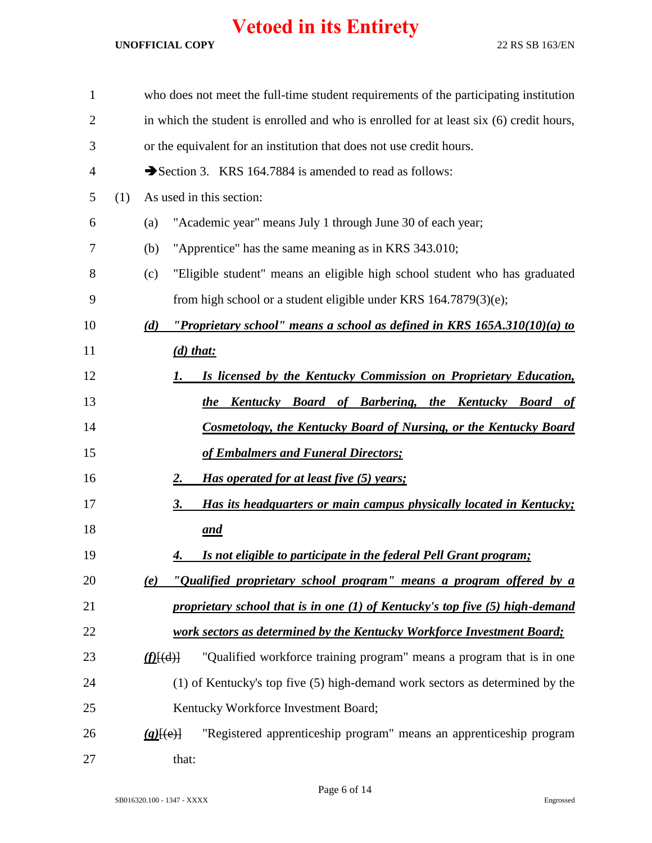| $\mathbf{1}$   |     |               | who does not meet the full-time student requirements of the participating institution   |
|----------------|-----|---------------|-----------------------------------------------------------------------------------------|
| $\overline{2}$ |     |               | in which the student is enrolled and who is enrolled for at least six (6) credit hours, |
| 3              |     |               | or the equivalent for an institution that does not use credit hours.                    |
| 4              |     |               | Section 3. KRS 164.7884 is amended to read as follows:                                  |
| 5              | (1) |               | As used in this section:                                                                |
| 6              |     | (a)           | "Academic year" means July 1 through June 30 of each year;                              |
| 7              |     | (b)           | "Apprentice" has the same meaning as in KRS 343.010;                                    |
| 8              |     | (c)           | "Eligible student" means an eligible high school student who has graduated              |
| 9              |     |               | from high school or a student eligible under KRS $164.7879(3)(e)$ ;                     |
| 10             |     | (d)           | "Proprietary school" means a school as defined in KRS $165A.310(10)(a)$ to              |
| 11             |     |               | $(d)$ that:                                                                             |
| 12             |     |               | Is licensed by the Kentucky Commission on Proprietary Education,<br><u>I.</u>           |
| 13             |     |               | the Kentucky Board of Barbering, the Kentucky Board of                                  |
| 14             |     |               | <b>Cosmetology, the Kentucky Board of Nursing, or the Kentucky Board</b>                |
| 15             |     |               | of Embalmers and Funeral Directors;                                                     |
| 16             |     |               | Has operated for at least five (5) years;<br><u>2.</u>                                  |
| 17             |     |               | Has its headquarters or main campus physically located in Kentucky;<br><u>3.</u>        |
| 18             |     |               | <u>and</u>                                                                              |
| 19             |     |               | Is not eligible to participate in the federal Pell Grant program;<br>4.                 |
| 20             |     | (e)           | "Qualified proprietary school program" means a program offered by a                     |
| 21             |     |               | proprietary school that is in one (1) of Kentucky's top five (5) high-demand            |
| 22             |     |               | work sectors as determined by the Kentucky Workforce Investment Board;                  |
| 23             |     | $(f)$ $\{d\}$ | "Qualified workforce training program" means a program that is in one                   |
| 24             |     |               | (1) of Kentucky's top five (5) high-demand work sectors as determined by the            |
| 25             |     |               | Kentucky Workforce Investment Board;                                                    |
| 26             |     | $(g)$ $(e)$ } | "Registered apprenticeship program" means an apprenticeship program                     |
| 27             |     |               | that:                                                                                   |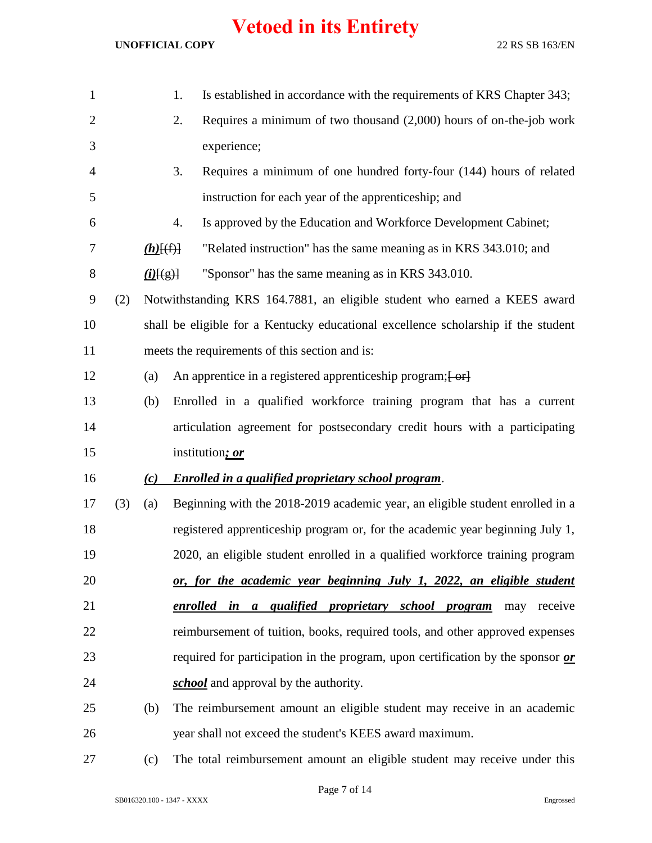#### **UNOFFICIAL COPY** 22 RS SB 163/EN

| $\mathbf{1}$   |     |                           | Is established in accordance with the requirements of KRS Chapter 343;<br>1.                   |
|----------------|-----|---------------------------|------------------------------------------------------------------------------------------------|
| $\overline{2}$ |     |                           | Requires a minimum of two thousand $(2,000)$ hours of on-the-job work<br>2.                    |
| 3              |     |                           | experience;                                                                                    |
| $\overline{4}$ |     |                           | 3.<br>Requires a minimum of one hundred forty-four (144) hours of related                      |
| 5              |     |                           | instruction for each year of the apprenticeship; and                                           |
| 6              |     |                           | Is approved by the Education and Workforce Development Cabinet;<br>4.                          |
| 7              |     | $(h)$ $(f)$               | "Related instruction" has the same meaning as in KRS 343.010; and                              |
| 8              |     | $\underline{(i)}$ $\xi$ ) | "Sponsor" has the same meaning as in KRS 343.010.                                              |
| 9              | (2) |                           | Notwithstanding KRS 164.7881, an eligible student who earned a KEES award                      |
| 10             |     |                           | shall be eligible for a Kentucky educational excellence scholarship if the student             |
| 11             |     |                           | meets the requirements of this section and is:                                                 |
| 12             |     | (a)                       | An apprentice in a registered apprenticeship program; [ or]                                    |
| 13             |     | (b)                       | Enrolled in a qualified workforce training program that has a current                          |
| 14             |     |                           | articulation agreement for postsecondary credit hours with a participating                     |
| 15             |     |                           | institution; or                                                                                |
| 16             |     | (c)                       | Enrolled in a qualified proprietary school program.                                            |
| 17             | (3) | (a)                       | Beginning with the 2018-2019 academic year, an eligible student enrolled in a                  |
| 18             |     |                           | registered apprenticeship program or, for the academic year beginning July 1,                  |
| 19             |     |                           | 2020, an eligible student enrolled in a qualified workforce training program                   |
| 20             |     |                           | or, for the academic year beginning July 1, 2022, an eligible student                          |
| 21             |     |                           | enrolled in a qualified proprietary school program<br>receive<br>may                           |
| 22             |     |                           | reimbursement of tuition, books, required tools, and other approved expenses                   |
| 23             |     |                           | required for participation in the program, upon certification by the sponsor $\boldsymbol{or}$ |
| 24             |     |                           | school and approval by the authority.                                                          |
| 25             |     | (b)                       | The reimbursement amount an eligible student may receive in an academic                        |
| 26             |     |                           | year shall not exceed the student's KEES award maximum.                                        |
|                |     |                           |                                                                                                |

(c) The total reimbursement amount an eligible student may receive under this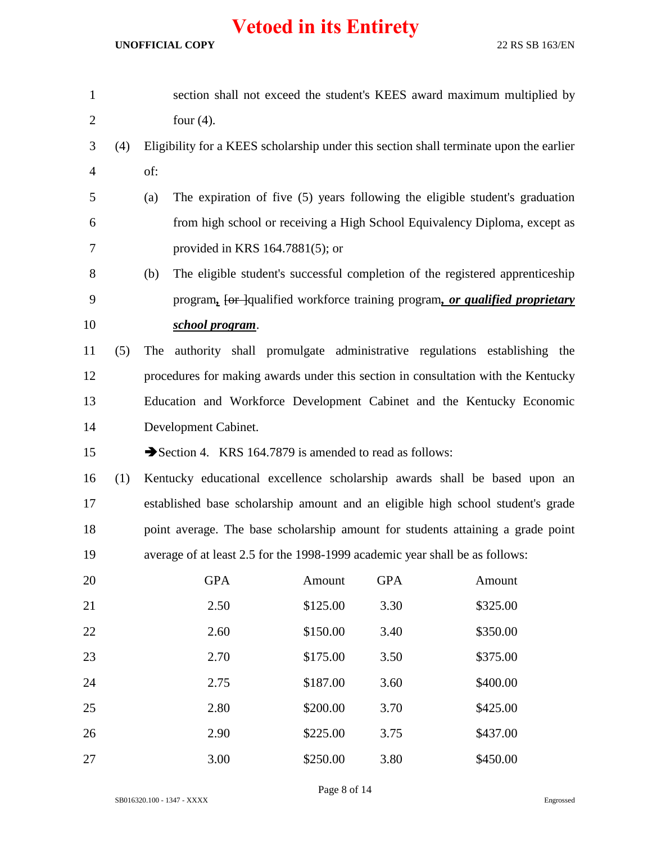| $\mathbf{1}$   |     |     |                                    |                                                        |            | section shall not exceed the student's KEES award maximum multiplied by                |
|----------------|-----|-----|------------------------------------|--------------------------------------------------------|------------|----------------------------------------------------------------------------------------|
| $\overline{c}$ |     |     | four $(4)$ .                       |                                                        |            |                                                                                        |
| 3              | (4) |     |                                    |                                                        |            | Eligibility for a KEES scholarship under this section shall terminate upon the earlier |
| 4              |     | of: |                                    |                                                        |            |                                                                                        |
| 5              |     | (a) |                                    |                                                        |            | The expiration of five (5) years following the eligible student's graduation           |
| 6              |     |     |                                    |                                                        |            | from high school or receiving a High School Equivalency Diploma, except as             |
| 7              |     |     | provided in KRS $164.7881(5)$ ; or |                                                        |            |                                                                                        |
| 8              |     | (b) |                                    |                                                        |            | The eligible student's successful completion of the registered apprenticeship          |
| 9              |     |     |                                    |                                                        |            | program, for Jqualified workforce training program, or qualified proprietary           |
| 10             |     |     | school program.                    |                                                        |            |                                                                                        |
| 11             | (5) | The |                                    |                                                        |            | authority shall promulgate administrative regulations establishing the                 |
| 12             |     |     |                                    |                                                        |            | procedures for making awards under this section in consultation with the Kentucky      |
| 13             |     |     |                                    |                                                        |            | Education and Workforce Development Cabinet and the Kentucky Economic                  |
| 14             |     |     | Development Cabinet.               |                                                        |            |                                                                                        |
| 15             |     |     |                                    | Section 4. KRS 164.7879 is amended to read as follows: |            |                                                                                        |
| 16             | (1) |     |                                    |                                                        |            | Kentucky educational excellence scholarship awards shall be based upon an              |
| 17             |     |     |                                    |                                                        |            | established base scholarship amount and an eligible high school student's grade        |
| 18             |     |     |                                    |                                                        |            | point average. The base scholarship amount for students attaining a grade point        |
| 19             |     |     |                                    |                                                        |            | average of at least 2.5 for the 1998-1999 academic year shall be as follows:           |
| 20             |     |     | <b>GPA</b>                         | Amount                                                 | <b>GPA</b> | Amount                                                                                 |
| 21             |     |     | 2.50                               | \$125.00                                               | 3.30       | \$325.00                                                                               |
| 22             |     |     | 2.60                               | \$150.00                                               | 3.40       | \$350.00                                                                               |
| 23             |     |     | 2.70                               | \$175.00                                               | 3.50       | \$375.00                                                                               |
| 24             |     |     | 2.75                               | \$187.00                                               | 3.60       | \$400.00                                                                               |
| 25             |     |     | 2.80                               | \$200.00                                               | 3.70       | \$425.00                                                                               |
| 26             |     |     | 2.90                               | \$225.00                                               | 3.75       | \$437.00                                                                               |
| 27             |     |     | 3.00                               | \$250.00                                               | 3.80       | \$450.00                                                                               |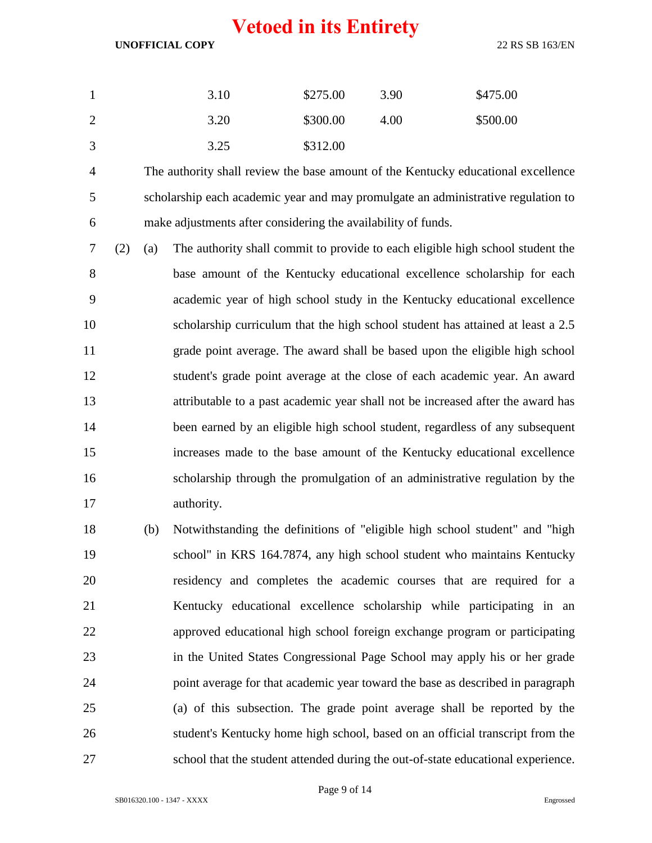#### **UNOFFICIAL COPY** 22 RS SB 163/EN

|                | 3.10 | \$275.00 | 3.90 | \$475.00 |
|----------------|------|----------|------|----------|
| $\overline{2}$ | 3.20 | \$300.00 | 4.00 | \$500.00 |
| 3              | 3.25 | \$312.00 |      |          |

 The authority shall review the base amount of the Kentucky educational excellence scholarship each academic year and may promulgate an administrative regulation to make adjustments after considering the availability of funds.

 (2) (a) The authority shall commit to provide to each eligible high school student the base amount of the Kentucky educational excellence scholarship for each academic year of high school study in the Kentucky educational excellence scholarship curriculum that the high school student has attained at least a 2.5 grade point average. The award shall be based upon the eligible high school student's grade point average at the close of each academic year. An award attributable to a past academic year shall not be increased after the award has been earned by an eligible high school student, regardless of any subsequent increases made to the base amount of the Kentucky educational excellence scholarship through the promulgation of an administrative regulation by the authority.

 (b) Notwithstanding the definitions of "eligible high school student" and "high school" in KRS 164.7874, any high school student who maintains Kentucky residency and completes the academic courses that are required for a Kentucky educational excellence scholarship while participating in an approved educational high school foreign exchange program or participating in the United States Congressional Page School may apply his or her grade point average for that academic year toward the base as described in paragraph (a) of this subsection. The grade point average shall be reported by the student's Kentucky home high school, based on an official transcript from the school that the student attended during the out-of-state educational experience.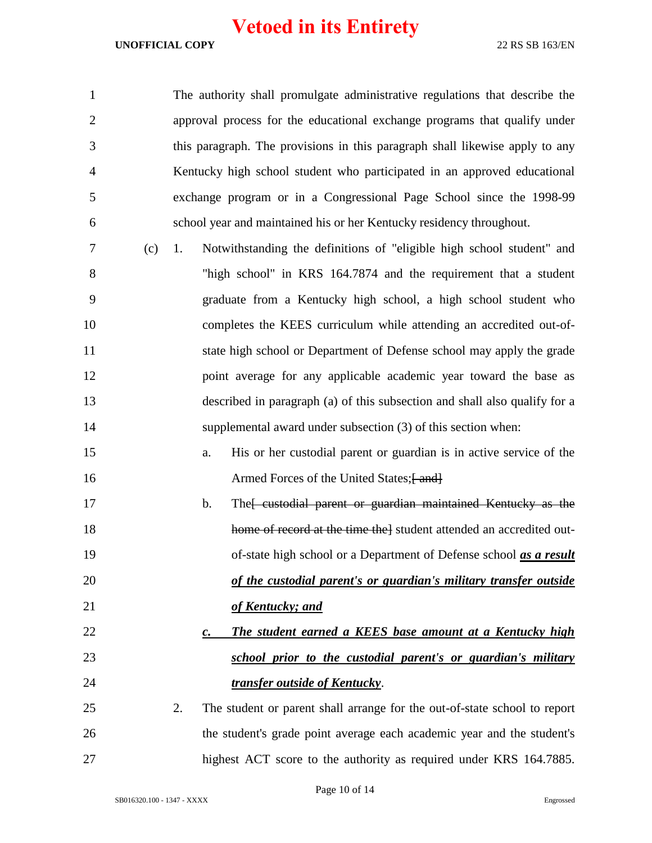| $\mathbf{1}$   |     | The authority shall promulgate administrative regulations that describe the           |
|----------------|-----|---------------------------------------------------------------------------------------|
| $\overline{2}$ |     | approval process for the educational exchange programs that qualify under             |
| 3              |     | this paragraph. The provisions in this paragraph shall likewise apply to any          |
| 4              |     | Kentucky high school student who participated in an approved educational              |
| 5              |     | exchange program or in a Congressional Page School since the 1998-99                  |
| 6              |     | school year and maintained his or her Kentucky residency throughout.                  |
| 7              | (c) | Notwithstanding the definitions of "eligible high school student" and<br>1.           |
| 8              |     | "high school" in KRS 164.7874 and the requirement that a student                      |
| 9              |     | graduate from a Kentucky high school, a high school student who                       |
| 10             |     | completes the KEES curriculum while attending an accredited out-of-                   |
| 11             |     | state high school or Department of Defense school may apply the grade                 |
| 12             |     | point average for any applicable academic year toward the base as                     |
| 13             |     | described in paragraph (a) of this subsection and shall also qualify for a            |
| 14             |     | supplemental award under subsection (3) of this section when:                         |
| 15             |     | His or her custodial parent or guardian is in active service of the<br>a.             |
| 16             |     | Armed Forces of the United States; [ and]                                             |
| 17             |     | The eustodial parent or guardian maintained Kentucky as the<br>b.                     |
| 18             |     | home of record at the time the student attended an accredited out-                    |
| 19             |     | of-state high school or a Department of Defense school as a result                    |
| 20             |     | of the custodial parent's or guardian's military transfer outside                     |
| 21             |     | of Kentucky; and                                                                      |
| 22             |     | <b>The student earned a KEES base amount at a Kentucky high</b><br>$\boldsymbol{c}$ . |
| 23             |     | school prior to the custodial parent's or guardian's military                         |
| 24             |     | transfer outside of Kentucky.                                                         |
| 25             |     | 2.<br>The student or parent shall arrange for the out-of-state school to report       |
| 26             |     | the student's grade point average each academic year and the student's                |
| 27             |     | highest ACT score to the authority as required under KRS 164.7885.                    |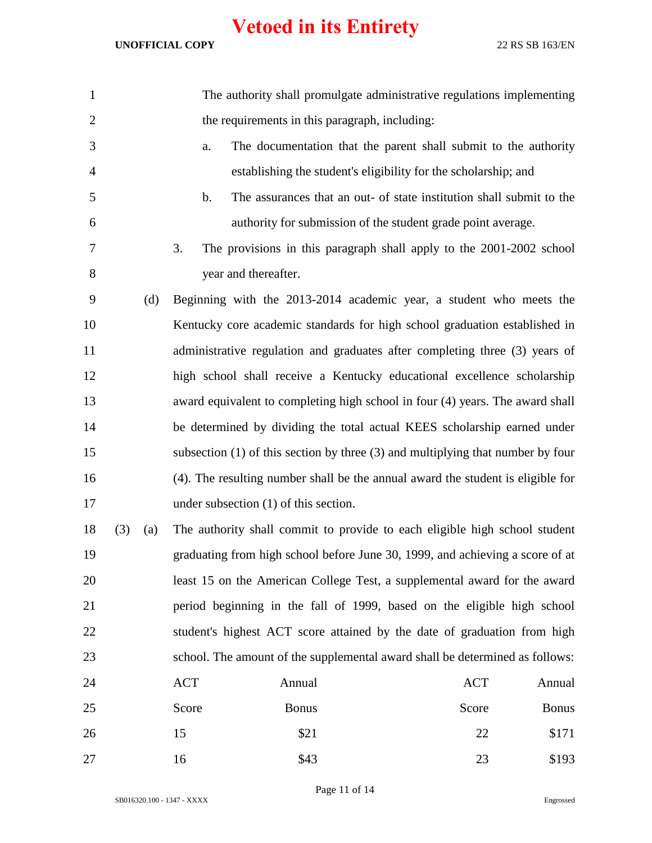| 1              |     |     |       | The authority shall promulgate administrative regulations implementing              |            |              |
|----------------|-----|-----|-------|-------------------------------------------------------------------------------------|------------|--------------|
| $\overline{2}$ |     |     |       | the requirements in this paragraph, including:                                      |            |              |
| 3              |     |     | a.    | The documentation that the parent shall submit to the authority                     |            |              |
| 4              |     |     |       | establishing the student's eligibility for the scholarship; and                     |            |              |
| 5              |     |     | b.    | The assurances that an out- of state institution shall submit to the                |            |              |
| 6              |     |     |       | authority for submission of the student grade point average.                        |            |              |
| 7              |     |     | 3.    | The provisions in this paragraph shall apply to the 2001-2002 school                |            |              |
| 8              |     |     |       | year and thereafter.                                                                |            |              |
| 9              |     | (d) |       | Beginning with the 2013-2014 academic year, a student who meets the                 |            |              |
| 10             |     |     |       | Kentucky core academic standards for high school graduation established in          |            |              |
| 11             |     |     |       | administrative regulation and graduates after completing three (3) years of         |            |              |
| 12             |     |     |       | high school shall receive a Kentucky educational excellence scholarship             |            |              |
| 13             |     |     |       | award equivalent to completing high school in four (4) years. The award shall       |            |              |
| 14             |     |     |       | be determined by dividing the total actual KEES scholarship earned under            |            |              |
| 15             |     |     |       | subsection $(1)$ of this section by three $(3)$ and multiplying that number by four |            |              |
| 16             |     |     |       | (4). The resulting number shall be the annual award the student is eligible for     |            |              |
| 17             |     |     |       | under subsection $(1)$ of this section.                                             |            |              |
| 18             | (3) | (a) |       | The authority shall commit to provide to each eligible high school student          |            |              |
| 19             |     |     |       | graduating from high school before June 30, 1999, and achieving a score of at       |            |              |
| 20             |     |     |       | least 15 on the American College Test, a supplemental award for the award           |            |              |
| 21             |     |     |       | period beginning in the fall of 1999, based on the eligible high school             |            |              |
| 22             |     |     |       | student's highest ACT score attained by the date of graduation from high            |            |              |
| 23             |     |     |       | school. The amount of the supplemental award shall be determined as follows:        |            |              |
| 24             |     |     | ACT   | Annual                                                                              | <b>ACT</b> | Annual       |
| 25             |     |     | Score | <b>Bonus</b>                                                                        | Score      | <b>Bonus</b> |
| 26             |     |     | 15    | \$21                                                                                | 22         | \$171        |
| 27             |     |     | 16    | \$43                                                                                | 23         | \$193        |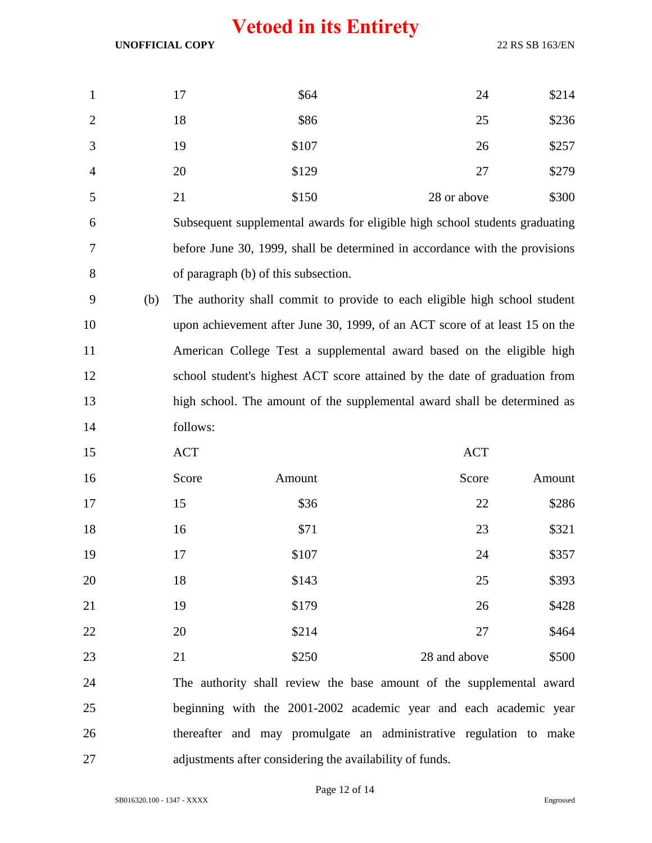**UNOFFICIAL COPY** 22 RS SB 163/EN

| $\mathbf{1}$    | 17 | \$64  | 24          | \$214 |
|-----------------|----|-------|-------------|-------|
| $\overline{2}$  | 18 | \$86  | 25          | \$236 |
| 3               | 19 | \$107 | 26          | \$257 |
| $\overline{4}$  | 20 | \$129 | 27          | \$279 |
| $5\overline{)}$ | 21 | \$150 | 28 or above | \$300 |

 Subsequent supplemental awards for eligible high school students graduating before June 30, 1999, shall be determined in accordance with the provisions of paragraph (b) of this subsection.

 (b) The authority shall commit to provide to each eligible high school student upon achievement after June 30, 1999, of an ACT score of at least 15 on the American College Test a supplemental award based on the eligible high school student's highest ACT score attained by the date of graduation from high school. The amount of the supplemental award shall be determined as follows:

| 15 | <b>ACT</b> |        |  | <b>ACT</b>                                                           |        |
|----|------------|--------|--|----------------------------------------------------------------------|--------|
| 16 | Score      | Amount |  | Score                                                                | Amount |
| 17 | 15         | \$36   |  | 22                                                                   | \$286  |
| 18 | 16         | \$71   |  | 23                                                                   | \$321  |
| 19 | 17         | \$107  |  | 24                                                                   | \$357  |
| 20 | 18         | \$143  |  | 25                                                                   | \$393  |
| 21 | 19         | \$179  |  | 26                                                                   | \$428  |
| 22 | 20         | \$214  |  | 27                                                                   | \$464  |
| 23 | 21         | \$250  |  | 28 and above                                                         | \$500  |
| 24 |            |        |  | The authority shall review the base amount of the supplemental award |        |

 beginning with the 2001-2002 academic year and each academic year thereafter and may promulgate an administrative regulation to make adjustments after considering the availability of funds.

Page 12 of 14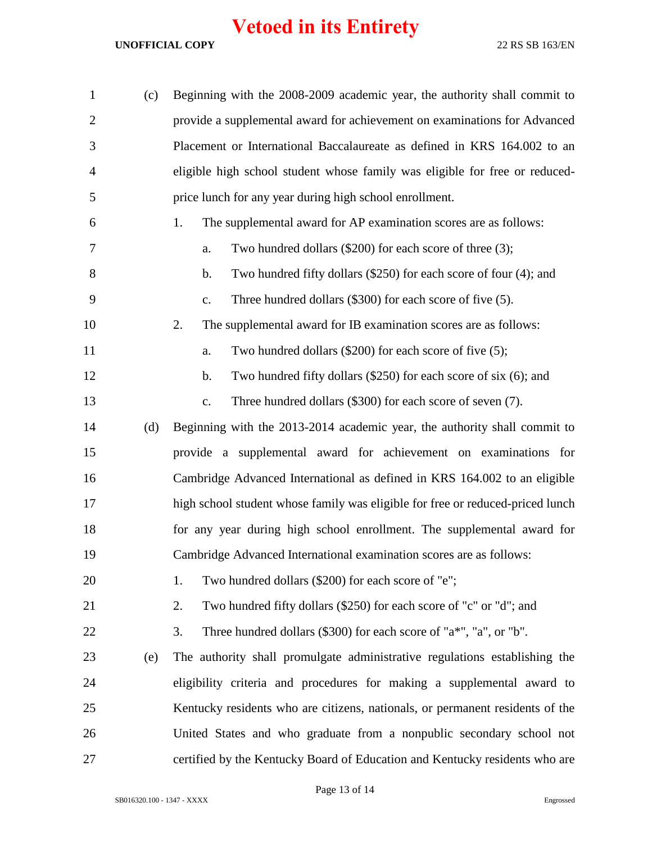| $\mathbf{1}$   | (c) | Beginning with the 2008-2009 academic year, the authority shall commit to               |
|----------------|-----|-----------------------------------------------------------------------------------------|
| $\overline{2}$ |     | provide a supplemental award for achievement on examinations for Advanced               |
| 3              |     | Placement or International Baccalaureate as defined in KRS 164.002 to an                |
| $\overline{4}$ |     | eligible high school student whose family was eligible for free or reduced-             |
| 5              |     | price lunch for any year during high school enrollment.                                 |
| 6              |     | The supplemental award for AP examination scores are as follows:<br>1.                  |
| 7              |     | Two hundred dollars (\$200) for each score of three (3);<br>a.                          |
| 8              |     | Two hundred fifty dollars (\$250) for each score of four (4); and<br>b.                 |
| 9              |     | Three hundred dollars (\$300) for each score of five (5).<br>c.                         |
| 10             |     | The supplemental award for IB examination scores are as follows:<br>2.                  |
| 11             |     | Two hundred dollars (\$200) for each score of five (5);<br>a.                           |
| 12             |     | Two hundred fifty dollars $(\$250)$ for each score of six $(6)$ ; and<br>b.             |
| 13             |     | Three hundred dollars (\$300) for each score of seven (7).<br>$\mathbf{c}$ .            |
| 14             | (d) | Beginning with the 2013-2014 academic year, the authority shall commit to               |
| 15             |     | provide a supplemental award for achievement on examinations for                        |
| 16             |     | Cambridge Advanced International as defined in KRS 164.002 to an eligible               |
| 17             |     | high school student whose family was eligible for free or reduced-priced lunch          |
| 18             |     | for any year during high school enrollment. The supplemental award for                  |
| 19             |     | Cambridge Advanced International examination scores are as follows:                     |
| 20             |     | Two hundred dollars (\$200) for each score of "e";<br>1.                                |
| 21             |     | Two hundred fifty dollars (\$250) for each score of "c" or "d"; and<br>2.               |
| 22             |     | Three hundred dollars $(\$300)$ for each score of " $a^*$ ", " $a$ ", or " $b$ ".<br>3. |
| 23             | (e) | The authority shall promulgate administrative regulations establishing the              |
| 24             |     | eligibility criteria and procedures for making a supplemental award to                  |
| 25             |     | Kentucky residents who are citizens, nationals, or permanent residents of the           |
| 26             |     | United States and who graduate from a nonpublic secondary school not                    |
| 27             |     | certified by the Kentucky Board of Education and Kentucky residents who are             |